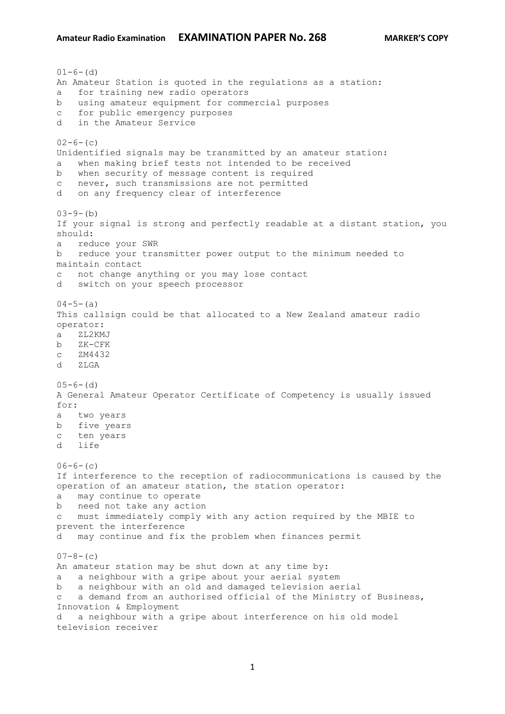$01-6-$  (d) An Amateur Station is quoted in the regulations as a station: a for training new radio operators b using amateur equipment for commercial purposes c for public emergency purposes d in the Amateur Service  $02-6-(c)$ Unidentified signals may be transmitted by an amateur station: a when making brief tests not intended to be received b when security of message content is required c never, such transmissions are not permitted d on any frequency clear of interference  $03-9-(b)$ If your signal is strong and perfectly readable at a distant station, you should: a reduce your SWR b reduce your transmitter power output to the minimum needed to maintain contact c not change anything or you may lose contact d switch on your speech processor  $04-5-(a)$ This callsign could be that allocated to a New Zealand amateur radio operator: a ZL2KMJ b ZK-CFK c ZM4432 d ZLGA  $05-6-$  (d) A General Amateur Operator Certificate of Competency is usually issued for: a two years b five years c ten years d life  $06-6-$  (c) If interference to the reception of radiocommunications is caused by the operation of an amateur station, the station operator: a may continue to operate b need not take any action c must immediately comply with any action required by the MBIE to prevent the interference d may continue and fix the problem when finances permit  $07-8-(c)$ An amateur station may be shut down at any time by: a a neighbour with a gripe about your aerial system b a neighbour with an old and damaged television aerial c a demand from an authorised official of the Ministry of Business, Innovation & Employment d a neighbour with a gripe about interference on his old model television receiver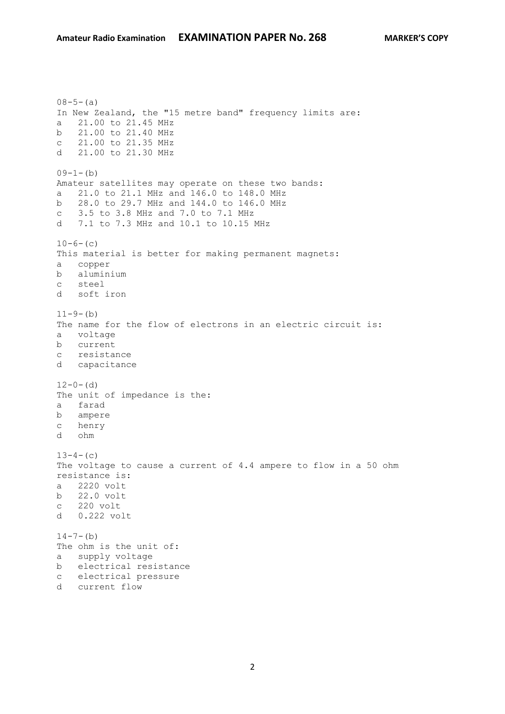$08-5-(a)$ In New Zealand, the "15 metre band" frequency limits are: a 21.00 to 21.45 MHz b 21.00 to 21.40 MHz c 21.00 to 21.35 MHz d 21.00 to 21.30 MHz  $09-1-(b)$ Amateur satellites may operate on these two bands: a 21.0 to 21.1 MHz and 146.0 to 148.0 MHz b 28.0 to 29.7 MHz and 144.0 to 146.0 MHz c 3.5 to 3.8 MHz and 7.0 to 7.1 MHz d 7.1 to 7.3 MHz and 10.1 to 10.15 MHz  $10-6-(c)$ This material is better for making permanent magnets: a copper b aluminium c steel d soft iron  $11-9-(b)$ The name for the flow of electrons in an electric circuit is: a voltage b current c resistance d capacitance  $12-0-$  (d) The unit of impedance is the: a farad b ampere c henry d ohm  $13-4-$  (c) The voltage to cause a current of 4.4 ampere to flow in a 50 ohm resistance is: a 2220 volt b 22.0 volt c 220 volt d 0.222 volt  $14-7-(b)$ The ohm is the unit of: a supply voltage b electrical resistance c electrical pressure d current flow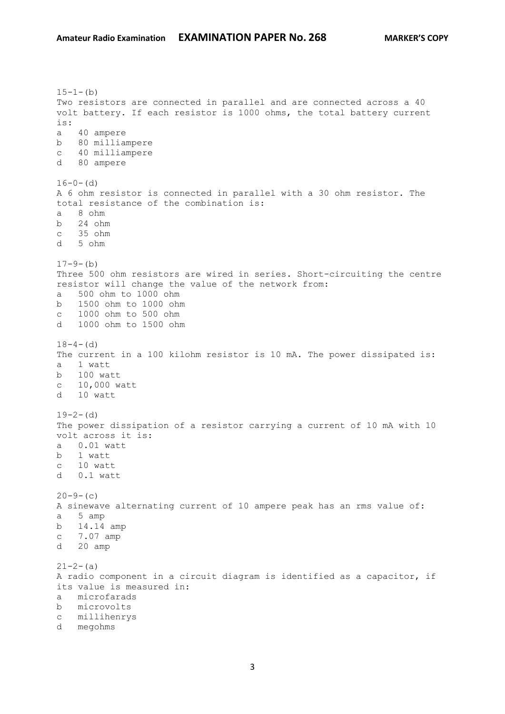$15-1-(b)$ Two resistors are connected in parallel and are connected across a 40 volt battery. If each resistor is 1000 ohms, the total battery current is: a 40 ampere b 80 milliampere c 40 milliampere d 80 ampere  $16-0-$  (d) A 6 ohm resistor is connected in parallel with a 30 ohm resistor. The total resistance of the combination is: a 8 ohm b 24 ohm c 35 ohm d 5 ohm  $17-9-(b)$ Three 500 ohm resistors are wired in series. Short-circuiting the centre resistor will change the value of the network from: a 500 ohm to 1000 ohm b 1500 ohm to 1000 ohm c 1000 ohm to 500 ohm d 1000 ohm to 1500 ohm  $18-4-$  (d) The current in a 100 kilohm resistor is 10 mA. The power dissipated is: a 1 watt b 100 watt c 10,000 watt d 10 watt  $19-2-(d)$ The power dissipation of a resistor carrying a current of 10 mA with 10 volt across it is: a 0.01 watt b 1 watt c 10 watt d 0.1 watt  $20-9-$  (c) A sinewave alternating current of 10 ampere peak has an rms value of: a 5 amp b 14.14 amp c 7.07 amp d 20 amp  $21 - 2 - (a)$ A radio component in a circuit diagram is identified as a capacitor, if its value is measured in: a microfarads b microvolts c millihenrys d megohms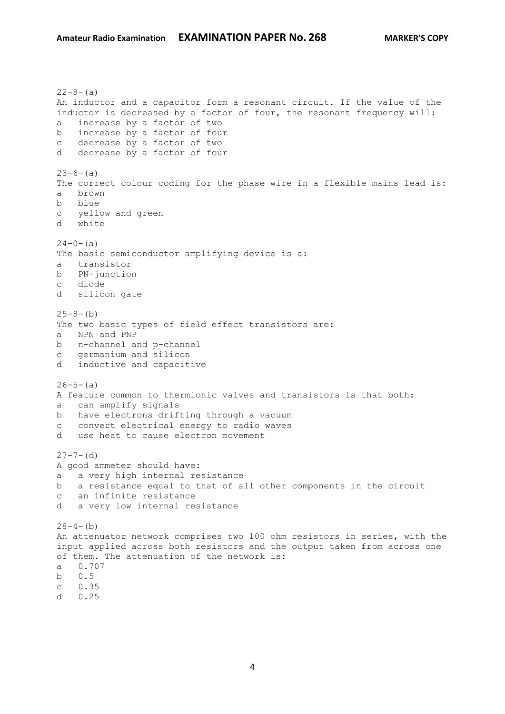$22-8-(a)$ An inductor and a capacitor form a resonant circuit. If the value of the inductor is decreased by a factor of four, the resonant frequency will: a increase by a factor of two b increase by a factor of four c decrease by a factor of two d decrease by a factor of four  $23-6-(a)$ The correct colour coding for the phase wire in a flexible mains lead is: a brown b blue c yellow and green d white  $24-0-(a)$ The basic semiconductor amplifying device is a: a transistor b PN-junction c diode d silicon gate  $25-8-(b)$ The two basic types of field effect transistors are: a NPN and PNP b n-channel and p-channel c germanium and silicon d inductive and capacitive  $26-5-(a)$ A feature common to thermionic valves and transistors is that both: a can amplify signals b have electrons drifting through a vacuum c convert electrical energy to radio waves d use heat to cause electron movement  $27 - 7 - (d)$ A good ammeter should have: a a very high internal resistance b a resistance equal to that of all other components in the circuit c an infinite resistance d a very low internal resistance  $28-4-(b)$ An attenuator network comprises two 100 ohm resistors in series, with the input applied across both resistors and the output taken from across one of them. The attenuation of the network is: a 0.707 b 0.5 c 0.35 d 0.25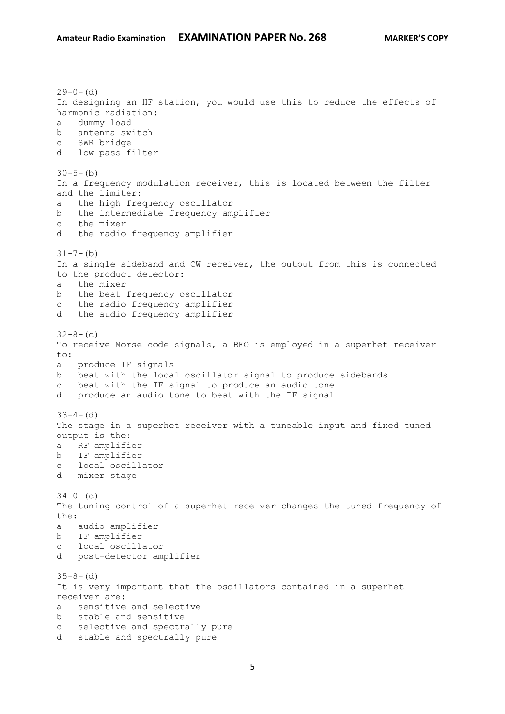$29-0-$  (d) In designing an HF station, you would use this to reduce the effects of harmonic radiation: a dummy load b antenna switch c SWR bridge d low pass filter  $30-5-(b)$ In a frequency modulation receiver, this is located between the filter and the limiter: a the high frequency oscillator b the intermediate frequency amplifier c the mixer d the radio frequency amplifier  $31 - 7 - (b)$ In a single sideband and CW receiver, the output from this is connected to the product detector: a the mixer b the beat frequency oscillator c the radio frequency amplifier d the audio frequency amplifier  $32-8-(c)$ To receive Morse code signals, a BFO is employed in a superhet receiver  $+\circ$ : a produce IF signals b beat with the local oscillator signal to produce sidebands c beat with the IF signal to produce an audio tone d produce an audio tone to beat with the IF signal  $33-4-(d)$ The stage in a superhet receiver with a tuneable input and fixed tuned output is the: a RF amplifier b IF amplifier c local oscillator d mixer stage  $34-0-$  (c) The tuning control of a superhet receiver changes the tuned frequency of the: a audio amplifier b IF amplifier c local oscillator d post-detector amplifier  $35-8-$  (d) It is very important that the oscillators contained in a superhet receiver are: a sensitive and selective b stable and sensitive c selective and spectrally pure d stable and spectrally pure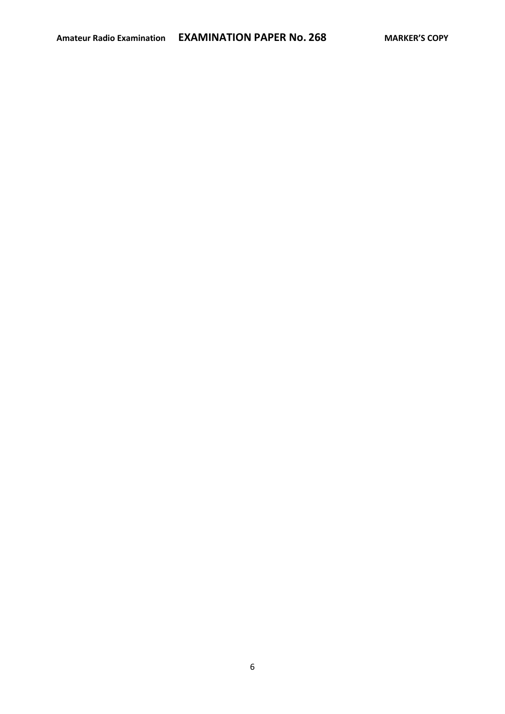6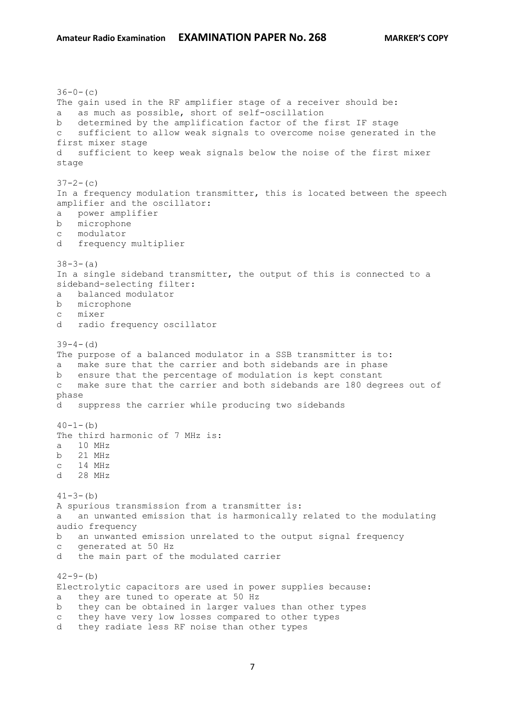$36-0-$  (c) The gain used in the RF amplifier stage of a receiver should be: a as much as possible, short of self-oscillation b determined by the amplification factor of the first IF stage c sufficient to allow weak signals to overcome noise generated in the first mixer stage d sufficient to keep weak signals below the noise of the first mixer stage  $37-2-(c)$ In a frequency modulation transmitter, this is located between the speech amplifier and the oscillator: a power amplifier b microphone c modulator d frequency multiplier  $38-3-(a)$ In a single sideband transmitter, the output of this is connected to a sideband-selecting filter: a balanced modulator b microphone c mixer d radio frequency oscillator  $39-4-$  (d) The purpose of a balanced modulator in a SSB transmitter is to: a make sure that the carrier and both sidebands are in phase b ensure that the percentage of modulation is kept constant c make sure that the carrier and both sidebands are 180 degrees out of phase d suppress the carrier while producing two sidebands  $40-1-$ (b) The third harmonic of 7 MHz is: a 10 MHz b 21 MHz c 14 MHz d 28 MHz  $41-3-(b)$ A spurious transmission from a transmitter is: a an unwanted emission that is harmonically related to the modulating audio frequency b an unwanted emission unrelated to the output signal frequency c generated at 50 Hz d the main part of the modulated carrier  $42 - 9 - (b)$ Electrolytic capacitors are used in power supplies because: a they are tuned to operate at 50 Hz b they can be obtained in larger values than other types c they have very low losses compared to other types d they radiate less RF noise than other types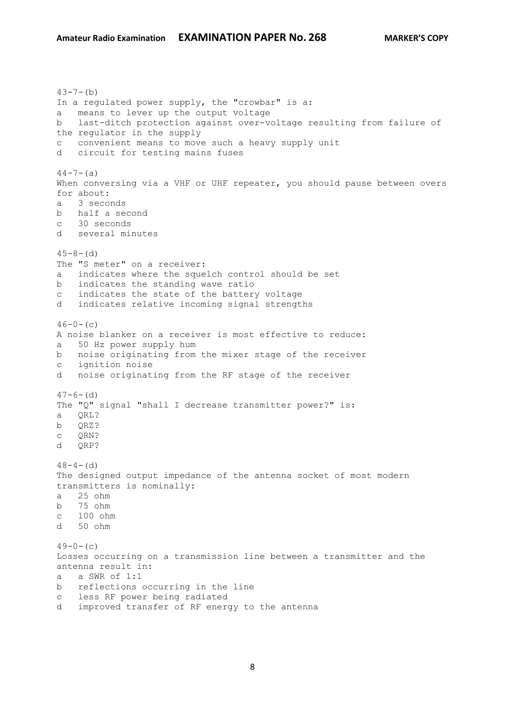$43 - 7 - (b)$ In a regulated power supply, the "crowbar" is a: a means to lever up the output voltage b last-ditch protection against over-voltage resulting from failure of the regulator in the supply c convenient means to move such a heavy supply unit d circuit for testing mains fuses  $44 - 7 - (a)$ When conversing via a VHF or UHF repeater, you should pause between overs for about: a 3 seconds b half a second c 30 seconds d several minutes  $45-8-(d)$ The "S meter" on a receiver: a indicates where the squelch control should be set b indicates the standing wave ratio c indicates the state of the battery voltage d indicates relative incoming signal strengths  $46-0-(c)$ A noise blanker on a receiver is most effective to reduce: a 50 Hz power supply hum b noise originating from the mixer stage of the receiver c ignition noise d noise originating from the RF stage of the receiver  $47-6-$  (d) The "O" signal "shall I decrease transmitter power?" is: a QRL? b QRZ? c QRN? d QRP?  $48-4-$  (d) The designed output impedance of the antenna socket of most modern transmitters is nominally: a 25 ohm b 75 ohm c 100 ohm d 50 ohm  $49-0-$  (c) Losses occurring on a transmission line between a transmitter and the antenna result in: a a SWR of 1:1 b reflections occurring in the line c less RF power being radiated d improved transfer of RF energy to the antenna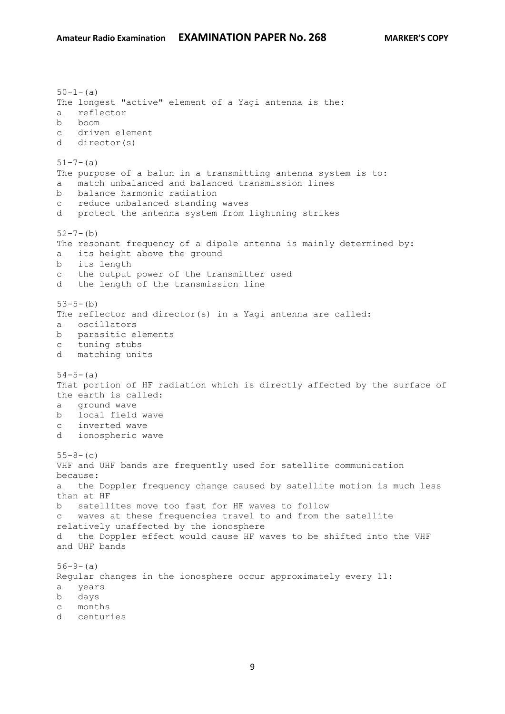$50-1-(a)$ The longest "active" element of a Yagi antenna is the: a reflector b boom c driven element d director(s)  $51 - 7 - (a)$ The purpose of a balun in a transmitting antenna system is to: a match unbalanced and balanced transmission lines b balance harmonic radiation c reduce unbalanced standing waves d protect the antenna system from lightning strikes  $52 - 7 - (b)$ The resonant frequency of a dipole antenna is mainly determined by: a its height above the ground b its length c the output power of the transmitter used d the length of the transmission line  $53-5-(b)$ The reflector and director(s) in a Yagi antenna are called: a oscillators b parasitic elements c tuning stubs d matching units  $54-5-$ (a) That portion of HF radiation which is directly affected by the surface of the earth is called: a ground wave b local field wave c inverted wave d ionospheric wave  $55-8-$  (c) VHF and UHF bands are frequently used for satellite communication because: a the Doppler frequency change caused by satellite motion is much less than at HF b satellites move too fast for HF waves to follow c waves at these frequencies travel to and from the satellite relatively unaffected by the ionosphere d the Doppler effect would cause HF waves to be shifted into the VHF and UHF bands  $56-9-(a)$ Regular changes in the ionosphere occur approximately every 11: a years b days c months d centuries